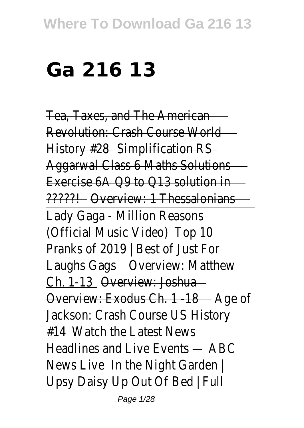## **Ga 216 13**

Tea, Taxes, and The American Revolution: Crash Course World History #28 Simplification RS Aggarwal Class 6 Maths Solutions Exercise 6A Q9 to Q13 solution in ?????! Overview: 1 Thessalonians Lady Gaga - Million Reasons (Official Music Video) Top 10 Pranks of 2019 | Best of Just For Laughs Gags **Overview: Matthew** Ch. 1-13 Overview: Joshua Overview: Exodus Ch. 1 -18 - Age of Jackson: Crash Course US History #14 Watch the Latest News Headlines and Live Events — ABC News Live In the Night Garden | Upsy Daisy Up Out Of Bed | Full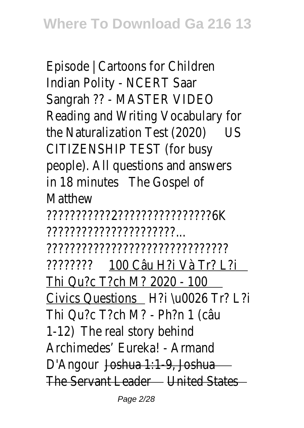Episode | Cartoons for Children Indian Polity - NCERT Saar Sangrah ?? - MASTER VIDEO Reading and Writing Vocabulary for the Naturalization Test (2020) US CITIZENSHIP TEST (for busy people). All questions and answers in 18 minutes The Gospel of **Matthew** ???????????2????????????????6K ??????????????????????... ??????????????????????????????? ???????? 100 Câu H?i Và Tr? L?i Thi Qu?c T?ch M? 2020 - 100 Civics Questions H?i \u0026 Tr? L?i Thi Qu?c T?ch M? - Ph?n 1 (câu 1-12) The real story behind Archimedes' Eureka! - Armand D'Angour Joshua 1:1-9, Joshua The Servant Leader United States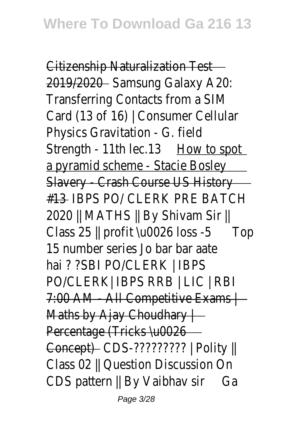Citizenship Naturalization Test 2019/2020Samsung Galaxy A20: Transferring Contacts from a SIM Card (13 of 16) | Consumer Cellular Physics Gravitation - G. field Strength - 11th lec.13 How to spot a pyramid scheme - Stacie Bosley Slavery - Crash Course US History #13 IBPS PO/ CLERK PRE BATCH 2020 || MATHS || By Shivam Sir || Class 25 || profit \u0026 loss -5Top 15 number series Jo bar bar aate hai ? ?SBI PO/CLERK | IBPS PO/CLERK| IBPS RRB | LIC | RBI 7:00 AM - All Competitive Exams | Maths by Ajay Choudhary  $\vdash$ Percentage (Tricks \u0026 Concept) CDS-????????? | Polity || Class 02 || Question Discussion On CDS pattern || By Vaibhav sir Ga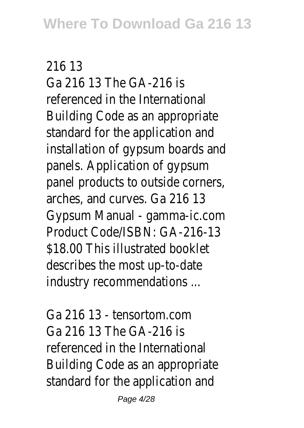## 216 13

Ga 216 13 The GA-216 is referenced in the International Building Code as an appropriate standard for the application and installation of gypsum boards and panels. Application of gypsum panel products to outside corners, arches, and curves. Ga 216 13 Gypsum Manual - gamma-ic.com Product Code/ISBN: GA-216-13 \$18.00 This illustrated booklet describes the most up-to-date industry recommendations ...

Ga 216 13 - tensortom.com Ga 216 13 The GA-216 is referenced in the International Building Code as an appropriate standard for the application and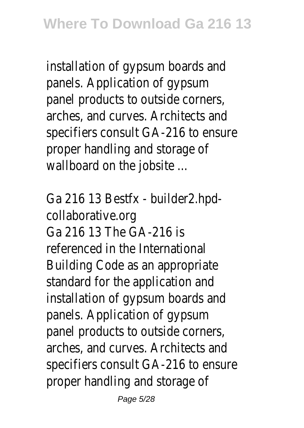installation of gypsum boards and panels. Application of gypsum panel products to outside corners, arches, and curves. Architects and specifiers consult GA-216 to ensure proper handling and storage of wallboard on the jobsite ...

Ga 216 13 Bestfx - builder2.hpdcollaborative.org Ga 216 13 The GA-216 is referenced in the International Building Code as an appropriate standard for the application and installation of gypsum boards and panels. Application of gypsum panel products to outside corners, arches, and curves. Architects and specifiers consult GA-216 to ensure proper handling and storage of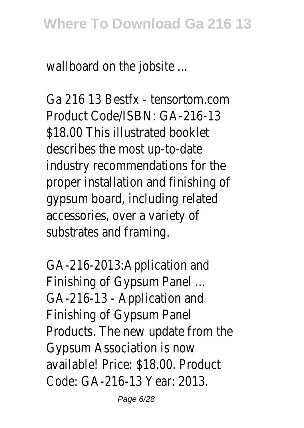wallboard on the jobsite ...

Ga 216 13 Bestfx - tensortom.com Product Code/ISBN: GA-216-13 \$18.00 This illustrated booklet describes the most up-to-date industry recommendations for the proper installation and finishing of gypsum board, including related accessories, over a variety of substrates and framing.

GA-216-2013:Application and Finishing of Gypsum Panel ... GA-216-13 - Application and Finishing of Gypsum Panel Products. The new update from the Gypsum Association is now available! Price: \$18.00. Product Code: GA-216-13 Year: 2013.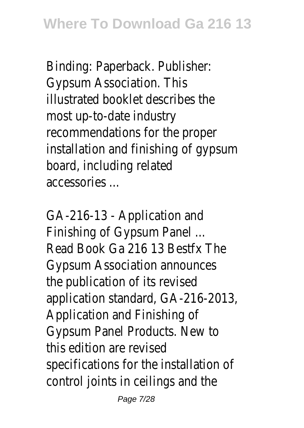Binding: Paperback. Publisher: Gypsum Association. This illustrated booklet describes the most up-to-date industry recommendations for the proper installation and finishing of gypsum board, including related accessories ...

GA-216-13 - Application and Finishing of Gypsum Panel ... Read Book Ga 216 13 Bestfx The Gypsum Association announces the publication of its revised application standard, GA-216-2013, Application and Finishing of Gypsum Panel Products. New to this edition are revised specifications for the installation of control joints in ceilings and the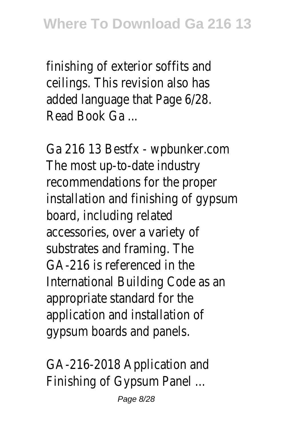finishing of exterior soffits and ceilings. This revision also has added language that Page 6/28. Read Book Ga ...

Ga 216 13 Bestfx - wpbunker.com The most up-to-date industry recommendations for the proper installation and finishing of gypsum board, including related accessories, over a variety of substrates and framing. The GA-216 is referenced in the International Building Code as an appropriate standard for the application and installation of gypsum boards and panels.

GA-216-2018 Application and Finishing of Gypsum Panel ...

Page 8/28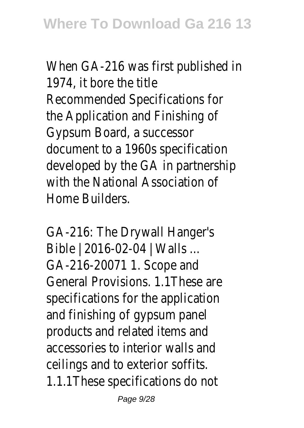When GA-216 was first published in 1974, it bore the title Recommended Specifications for the Application and Finishing of Gypsum Board, a successor document to a 1960s specification developed by the GA in partnership with the National Association of Home Builders.

GA-216: The Drywall Hanger's Bible | 2016-02-04 | Walls ... GA-216-20071 1. Scope and General Provisions. 1.1These are specifications for the application and finishing of gypsum panel products and related items and accessories to interior walls and ceilings and to exterior soffits. 1.1.1These specifications do not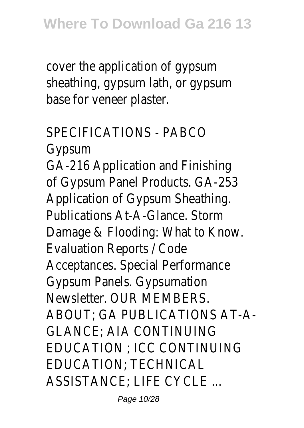cover the application of gypsum sheathing, gypsum lath, or gypsum base for veneer plaster.

SPECIFICATIONS - PARCO Gypsum GA-216 Application and Finishing of Gypsum Panel Products. GA-253 Application of Gypsum Sheathing. Publications At-A-Glance. Storm Damage & Flooding: What to Know. Evaluation Reports / Code Acceptances. Special Performance Gypsum Panels. Gypsumation Newsletter. OUR MEMBERS. ABOUT; GA PUBLICATIONS AT-A-GLANCE; AIA CONTINUING EDUCATION ; ICC CONTINUING EDUCATION; TECHNICAL ASSISTANCE; LIFE CYCLE ...

Page 10/28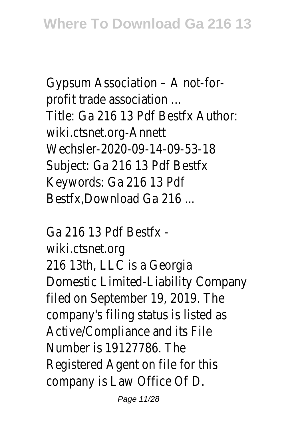Gypsum Association – A not-forprofit trade association ... Title: Ga 216 13 Pdf Bestfx Author: wiki.ctsnet.org-Annett Wechsler-2020-09-14-09-53-18 Subject: Ga 216 13 Pdf Bestfx Keywords: Ga 216 13 Pdf Bestfx,Download Ga 216 ...

Ga 216 13 Pdf Bestfx wiki.ctsnet.org 216 13th, LLC is a Georgia Domestic Limited-Liability Company filed on September 19, 2019. The company's filing status is listed as Active/Compliance and its File Number is 19127786. The Registered Agent on file for this company is Law Office Of D.

Page 11/28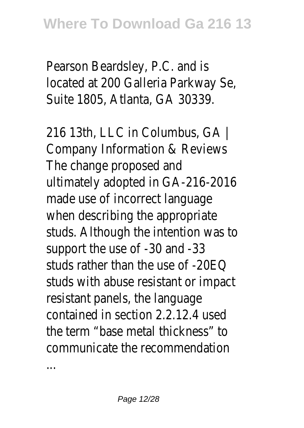Pearson Beardsley, P.C. and is located at 200 Galleria Parkway Se, Suite 1805, Atlanta, GA 30339.

216 13th, LLC in Columbus, GA | Company Information & Reviews The change proposed and ultimately adopted in GA-216-2016 made use of incorrect language when describing the appropriate studs. Although the intention was to support the use of -30 and -33 studs rather than the use of -20EQ studs with abuse resistant or impact resistant panels, the language contained in section 2.2.12.4 used the term "base metal thickness" to communicate the recommendation

...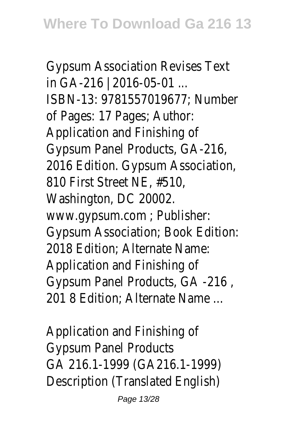Gypsum Association Revises Text in GA-216 | 2016-05-01 ... ISBN-13: 9781557019677; Number of Pages: 17 Pages; Author: Application and Finishing of Gypsum Panel Products, GA-216, 2016 Edition. Gypsum Association, 810 First Street NE, #510, Washington, DC 20002. www.gypsum.com ; Publisher: Gypsum Association; Book Edition: 2018 Edition; Alternate Name: Application and Finishing of Gypsum Panel Products, GA -216 , 201 8 Edition; Alternate Name ...

Application and Finishing of Gypsum Panel Products GA 216.1-1999 (GA216.1-1999) Description (Translated English)

Page 13/28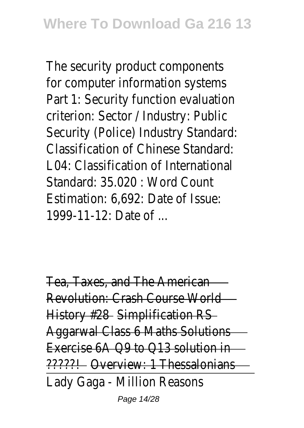The security product components for computer information systems Part 1: Security function evaluation criterion: Sector / Industry: Public Security (Police) Industry Standard: Classification of Chinese Standard: L04: Classification of International Standard: 35.020 : Word Count Estimation: 6,692: Date of Issue: 1999-11-12: Date of ...

Tea, Taxes, and The American Revolution: Crash Course World History #28 Simplification RS Aggarwal Class 6 Maths Solutions Exercise 6A Q9 to Q13 solution in ?????! Overview: 1 Thessalonians Lady Gaga - Million Reasons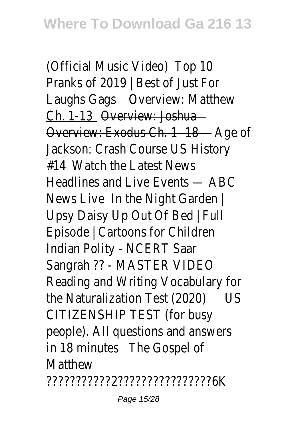(Official Music Video) Top 10 Pranks of 2019 | Best of Just For Laughs Gags **Overview: Matthew** Ch. 1-13 Overview: Joshua Overview: Exodus Ch. 1 -18 - Age of Jackson: Crash Course US History #14 Watch the Latest News Headlines and Live Events — ABC News Live In the Night Garden | Upsy Daisy Up Out Of Bed | Full Episode | Cartoons for Children Indian Polity - NCERT Saar Sangrah ?? - MASTER VIDEO Reading and Writing Vocabulary for the Naturalization Test (2020) US CITIZENSHIP TEST (for busy people). All questions and answers in 18 minutes The Gospel of **Matthew** ???????????2????????????????6K

Page 15/28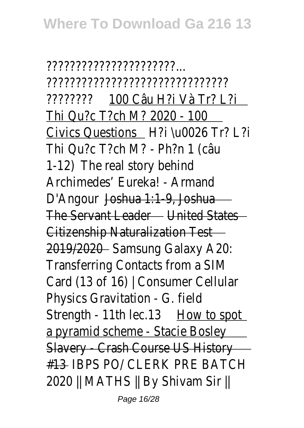??????????????????????... ??????????????????????????????? ???????? 100 Câu H?i Và Tr? L?i Thi Qu?c T?ch M? 2020 - 100 Civics Questions H?i \u0026 Tr? L?i Thi Qu?c T?ch M? - Ph?n 1 (câu 1-12) The real story behind Archimedes' Eureka! - Armand D'Angour Joshua 1:1-9, Joshua The Servant Leader United States Citizenship Naturalization Test 2019/2020Samsung Galaxy A20: Transferring Contacts from a SIM Card (13 of 16) | Consumer Cellular Physics Gravitation - G. field Strength - 11th lec.13 How to spot a pyramid scheme - Stacie Bosley Slavery - Crash Course US History #13 IBPS PO/ CLERK PRE BATCH 2020 || MATHS || By Shivam Sir ||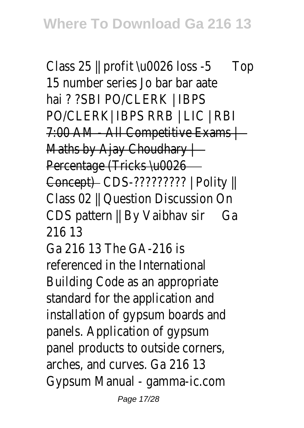Class 25 || profit \u0026 loss -5Top 15 number series Jo bar bar aate hai ? ?SBI PO/CLERK | IBPS PO/CLERK| IBPS RRB | LIC | RBI 7:00 AM - All Competitive Exams | Maths by Ajay Choudhary | Percentage (Tricks \u0026 Concept) CDS-????????? | Polity || Class 02 || Question Discussion On CDS pattern || By Vaibhav sir Ga 216 13

Ga 216 13 The GA-216 is referenced in the International Building Code as an appropriate standard for the application and installation of gypsum boards and panels. Application of gypsum panel products to outside corners, arches, and curves. Ga 216 13 Gypsum Manual - gamma-ic.com

Page 17/28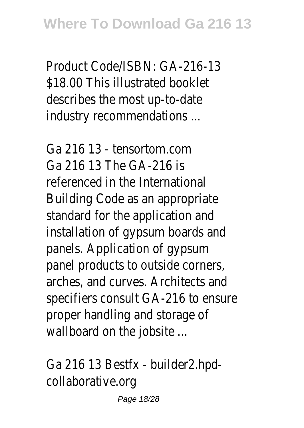Product Code/ISBN: GA-216-13 \$18.00 This illustrated booklet describes the most up-to-date industry recommendations ...

Ga 216 13 - tensortom.com Ga 216 13 The GA-216 is referenced in the International Building Code as an appropriate standard for the application and installation of gypsum boards and panels. Application of gypsum panel products to outside corners, arches, and curves. Architects and specifiers consult GA-216 to ensure proper handling and storage of wallboard on the jobsite ...

Ga 216 13 Bestfx - builder2.hpdcollaborative.org

Page 18/28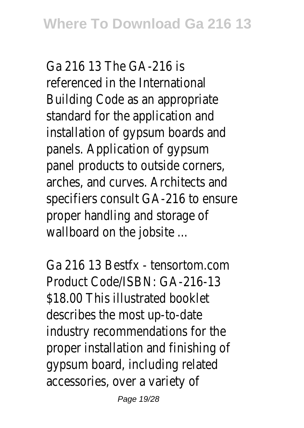Ga 216 13 The GA-216 is referenced in the International Building Code as an appropriate standard for the application and installation of gypsum boards and panels. Application of gypsum panel products to outside corners, arches, and curves. Architects and specifiers consult GA-216 to ensure proper handling and storage of wallboard on the jobsite ...

Ga 216 13 Bestfx - tensortom.com Product Code/ISBN: GA-216-13 \$18.00 This illustrated booklet describes the most up-to-date industry recommendations for the proper installation and finishing of gypsum board, including related accessories, over a variety of

Page 19/28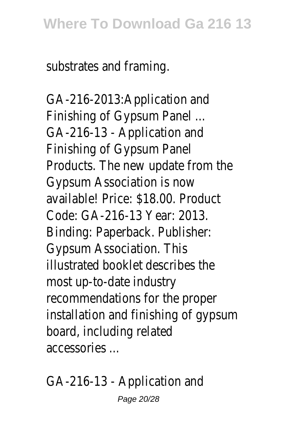substrates and framing.

GA-216-2013:Application and Finishing of Gypsum Panel ... GA-216-13 - Application and Finishing of Gypsum Panel Products. The new update from the Gypsum Association is now available! Price: \$18.00. Product Code: GA-216-13 Year: 2013. Binding: Paperback. Publisher: Gypsum Association. This illustrated booklet describes the most up-to-date industry recommendations for the proper installation and finishing of gypsum board, including related accessories ...

GA-216-13 - Application and

Page 20/28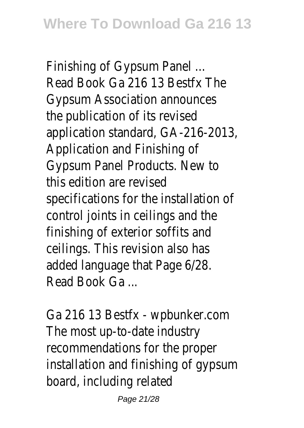Finishing of Gypsum Panel ... Read Book Ga 216 13 Bestfx The Gypsum Association announces the publication of its revised application standard, GA-216-2013, Application and Finishing of Gypsum Panel Products. New to this edition are revised specifications for the installation of control joints in ceilings and the finishing of exterior soffits and ceilings. This revision also has added language that Page 6/28. Read Book Ga ...

Ga 216 13 Bestfx - wpbunker.com The most up-to-date industry recommendations for the proper installation and finishing of gypsum board, including related

Page 21/28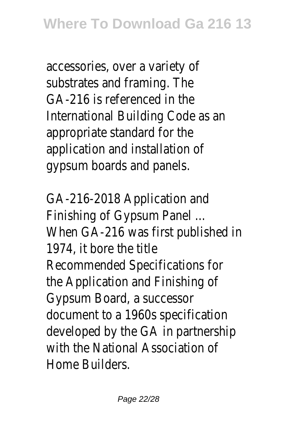accessories, over a variety of substrates and framing. The GA-216 is referenced in the International Building Code as an appropriate standard for the application and installation of gypsum boards and panels.

GA-216-2018 Application and Finishing of Gypsum Panel ... When GA-216 was first published in 1974, it bore the title Recommended Specifications for the Application and Finishing of Gypsum Board, a successor document to a 1960s specification developed by the GA in partnership with the National Association of Home Builders.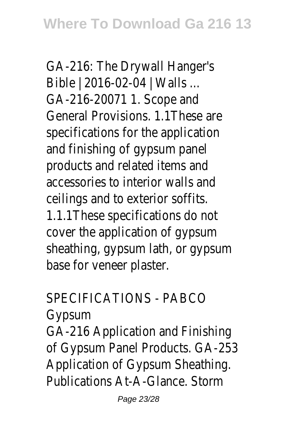GA-216: The Drywall Hanger's Bible | 2016-02-04 | Walls ... GA-216-20071 1. Scope and General Provisions. 1.1These are specifications for the application and finishing of gypsum panel products and related items and accessories to interior walls and ceilings and to exterior soffits. 1.1.1These specifications do not cover the application of gypsum sheathing, gypsum lath, or gypsum base for veneer plaster.

## SPECIFICATIONS - PABCO

Gypsum

GA-216 Application and Finishing of Gypsum Panel Products. GA-253 Application of Gypsum Sheathing. Publications At-A-Glance. Storm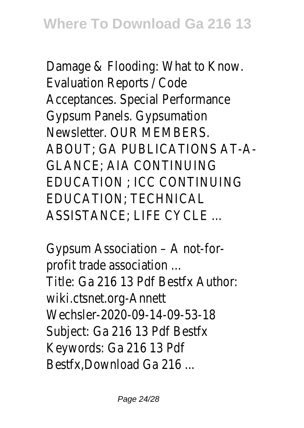Damage & Flooding: What to Know. Evaluation Reports / Code Acceptances. Special Performance Gypsum Panels. Gypsumation Newsletter. OUR MEMBERS. ABOUT; GA PUBLICATIONS AT-A-GLANCE; AIA CONTINUING EDUCATION ; ICC CONTINUING EDUCATION; TECHNICAL ASSISTANCE; LIFE CYCLE ...

Gypsum Association – A not-forprofit trade association ... Title: Ga 216 13 Pdf Bestfx Author: wiki.ctsnet.org-Annett Wechsler-2020-09-14-09-53-18 Subject: Ga 216 13 Pdf Bestfx Keywords: Ga 216 13 Pdf Bestfx,Download Ga 216 ...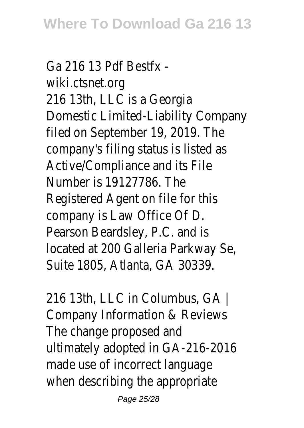Ga 216 13 Pdf Bestfx wiki.ctsnet.org 216 13th, LLC is a Georgia Domestic Limited-Liability Company filed on September 19, 2019. The company's filing status is listed as Active/Compliance and its File Number is 19127786. The Registered Agent on file for this company is Law Office Of D. Pearson Beardsley, P.C. and is located at 200 Galleria Parkway Se, Suite 1805, Atlanta, GA 30339.

216 13th, LLC in Columbus, GA | Company Information & Reviews The change proposed and ultimately adopted in GA-216-2016 made use of incorrect language when describing the appropriate

Page 25/28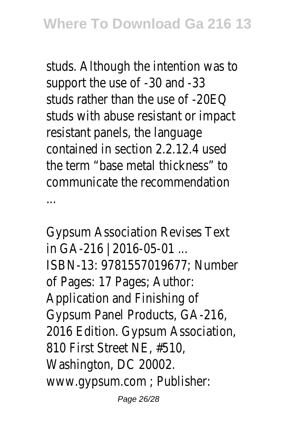studs. Although the intention was to support the use of -30 and -33 studs rather than the use of -20EQ studs with abuse resistant or impact resistant panels, the language contained in section 2.2.12.4 used the term "base metal thickness" to communicate the recommendation ...

Gypsum Association Revises Text in GA-216 | 2016-05-01 ... ISBN-13: 9781557019677; Number of Pages: 17 Pages; Author: Application and Finishing of Gypsum Panel Products, GA-216, 2016 Edition. Gypsum Association, 810 First Street NE, #510, Washington, DC 20002. www.gypsum.com ; Publisher:

Page 26/28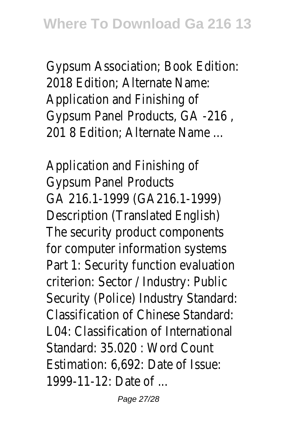Gypsum Association; Book Edition: 2018 Edition; Alternate Name: Application and Finishing of Gypsum Panel Products, GA -216 , 201 8 Edition; Alternate Name ...

Application and Finishing of Gypsum Panel Products GA 216.1-1999 (GA216.1-1999) Description (Translated English) The security product components for computer information systems Part 1: Security function evaluation criterion: Sector / Industry: Public Security (Police) Industry Standard: Classification of Chinese Standard: L04: Classification of International Standard: 35.020 : Word Count Estimation: 6,692: Date of Issue: 1999-11-12: Date of ...

Page 27/28